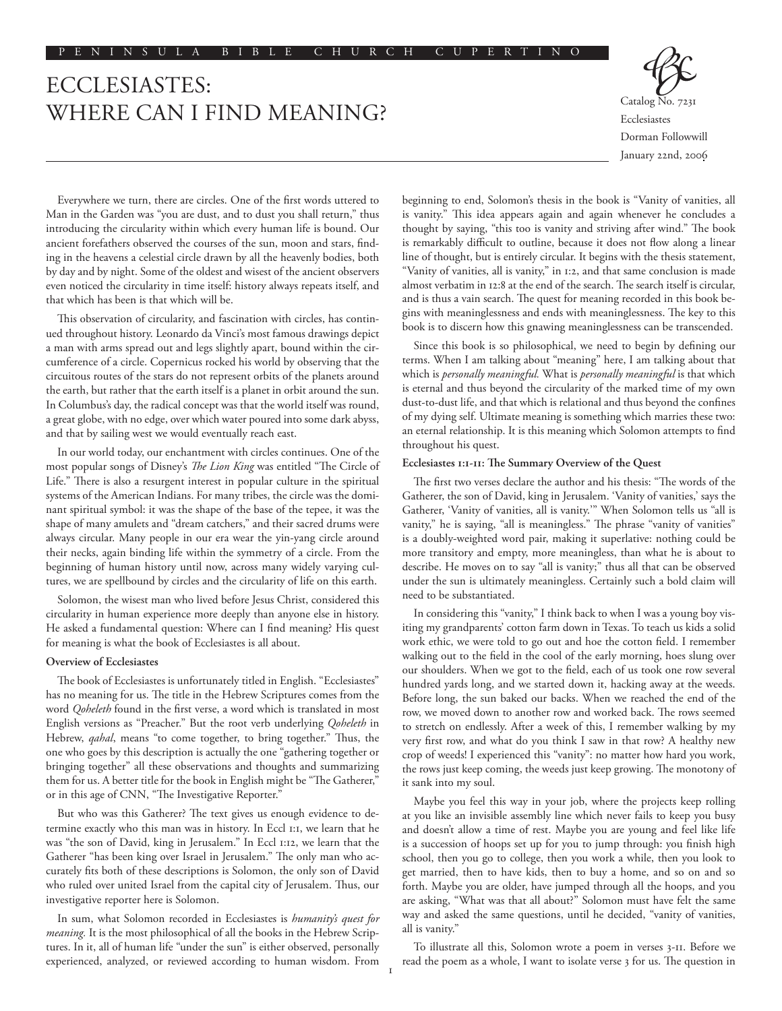# ECCLESIASTES: WHERE CAN I FIND MEANING?

Ecclesiastes Dorman Followwill January 22nd, 2006

Everywhere we turn, there are circles. One of the first words uttered to Man in the Garden was "you are dust, and to dust you shall return," thus introducing the circularity within which every human life is bound. Our ancient forefathers observed the courses of the sun, moon and stars, finding in the heavens a celestial circle drawn by all the heavenly bodies, both by day and by night. Some of the oldest and wisest of the ancient observers even noticed the circularity in time itself: history always repeats itself, and that which has been is that which will be.

This observation of circularity, and fascination with circles, has continued throughout history. Leonardo da Vinci's most famous drawings depict a man with arms spread out and legs slightly apart, bound within the circumference of a circle. Copernicus rocked his world by observing that the circuitous routes of the stars do not represent orbits of the planets around the earth, but rather that the earth itself is a planet in orbit around the sun. In Columbus's day, the radical concept was that the world itself was round, a great globe, with no edge, over which water poured into some dark abyss, and that by sailing west we would eventually reach east.

In our world today, our enchantment with circles continues. One of the most popular songs of Disney's *The Lion King* was entitled "The Circle of Life." There is also a resurgent interest in popular culture in the spiritual systems of the American Indians. For many tribes, the circle was the dominant spiritual symbol: it was the shape of the base of the tepee, it was the shape of many amulets and "dream catchers," and their sacred drums were always circular. Many people in our era wear the yin-yang circle around their necks, again binding life within the symmetry of a circle. From the beginning of human history until now, across many widely varying cultures, we are spellbound by circles and the circularity of life on this earth.

Solomon, the wisest man who lived before Jesus Christ, considered this circularity in human experience more deeply than anyone else in history. He asked a fundamental question: Where can I find meaning? His quest for meaning is what the book of Ecclesiastes is all about.

## **Overview of Ecclesiastes**

The book of Ecclesiastes is unfortunately titled in English. "Ecclesiastes" has no meaning for us. The title in the Hebrew Scriptures comes from the word *Qoheleth* found in the first verse, a word which is translated in most English versions as "Preacher." But the root verb underlying *Qoheleth* in Hebrew, *qahal*, means "to come together, to bring together." Thus, the one who goes by this description is actually the one "gathering together or bringing together" all these observations and thoughts and summarizing them for us. A better title for the book in English might be "The Gatherer," or in this age of CNN, "The Investigative Reporter."

But who was this Gatherer? The text gives us enough evidence to determine exactly who this man was in history. In Eccl 1:1, we learn that he was "the son of David, king in Jerusalem." In Eccl 1:12, we learn that the Gatherer "has been king over Israel in Jerusalem." The only man who accurately fits both of these descriptions is Solomon, the only son of David who ruled over united Israel from the capital city of Jerusalem. Thus, our investigative reporter here is Solomon.

In sum, what Solomon recorded in Ecclesiastes is *humanity's quest for meaning.* It is the most philosophical of all the books in the Hebrew Scriptures. In it, all of human life "under the sun" is either observed, personally experienced, analyzed, or reviewed according to human wisdom. From

beginning to end, Solomon's thesis in the book is "Vanity of vanities, all is vanity." This idea appears again and again whenever he concludes a thought by saying, "this too is vanity and striving after wind." The book is remarkably difficult to outline, because it does not flow along a linear line of thought, but is entirely circular. It begins with the thesis statement, "Vanity of vanities, all is vanity," in 1:2, and that same conclusion is made almost verbatim in 12:8 at the end of the search. The search itself is circular, and is thus a vain search. The quest for meaning recorded in this book begins with meaninglessness and ends with meaninglessness. The key to this book is to discern how this gnawing meaninglessness can be transcended.

Since this book is so philosophical, we need to begin by defining our terms. When I am talking about "meaning" here, I am talking about that which is *personally meaningful.* What is *personally meaningful* is that which is eternal and thus beyond the circularity of the marked time of my own dust-to-dust life, and that which is relational and thus beyond the confines of my dying self. Ultimate meaning is something which marries these two: an eternal relationship. It is this meaning which Solomon attempts to find throughout his quest.

#### **Ecclesiastes 1:1-11: The Summary Overview of the Quest**

The first two verses declare the author and his thesis: "The words of the Gatherer, the son of David, king in Jerusalem. 'Vanity of vanities,' says the Gatherer, 'Vanity of vanities, all is vanity.'" When Solomon tells us "all is vanity," he is saying, "all is meaningless." The phrase "vanity of vanities" is a doubly-weighted word pair, making it superlative: nothing could be more transitory and empty, more meaningless, than what he is about to describe. He moves on to say "all is vanity;" thus all that can be observed under the sun is ultimately meaningless. Certainly such a bold claim will need to be substantiated.

In considering this "vanity," I think back to when I was a young boy visiting my grandparents' cotton farm down in Texas. To teach us kids a solid work ethic, we were told to go out and hoe the cotton field. I remember walking out to the field in the cool of the early morning, hoes slung over our shoulders. When we got to the field, each of us took one row several hundred yards long, and we started down it, hacking away at the weeds. Before long, the sun baked our backs. When we reached the end of the row, we moved down to another row and worked back. The rows seemed to stretch on endlessly. After a week of this, I remember walking by my very first row, and what do you think I saw in that row? A healthy new crop of weeds! I experienced this "vanity": no matter how hard you work, the rows just keep coming, the weeds just keep growing. The monotony of it sank into my soul.

Maybe you feel this way in your job, where the projects keep rolling at you like an invisible assembly line which never fails to keep you busy and doesn't allow a time of rest. Maybe you are young and feel like life is a succession of hoops set up for you to jump through: you finish high school, then you go to college, then you work a while, then you look to get married, then to have kids, then to buy a home, and so on and so forth. Maybe you are older, have jumped through all the hoops, and you are asking, "What was that all about?" Solomon must have felt the same way and asked the same questions, until he decided, "vanity of vanities, all is vanity."

To illustrate all this, Solomon wrote a poem in verses 3-11. Before we read the poem as a whole, I want to isolate verse 3 for us. The question in

I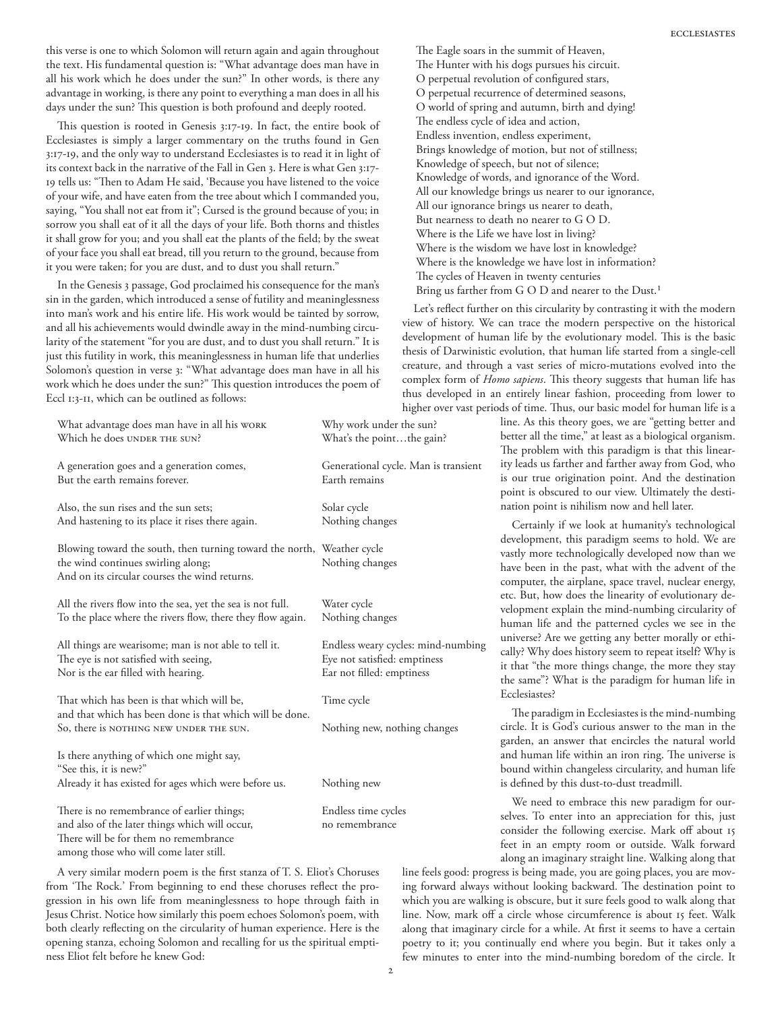this verse is one to which Solomon will return again and again throughout the text. His fundamental question is: "What advantage does man have in all his work which he does under the sun?" In other words, is there any advantage in working, is there any point to everything a man does in all his days under the sun? This question is both profound and deeply rooted.

This question is rooted in Genesis 3:17-19. In fact, the entire book of Ecclesiastes is simply a larger commentary on the truths found in Gen 3:17-19, and the only way to understand Ecclesiastes is to read it in light of its context back in the narrative of the Fall in Gen 3. Here is what Gen 3:17- 19 tells us: "Then to Adam He said, 'Because you have listened to the voice of your wife, and have eaten from the tree about which I commanded you, saying, "You shall not eat from it"; Cursed is the ground because of you; in sorrow you shall eat of it all the days of your life. Both thorns and thistles it shall grow for you; and you shall eat the plants of the field; by the sweat of your face you shall eat bread, till you return to the ground, because from it you were taken; for you are dust, and to dust you shall return."

In the Genesis 3 passage, God proclaimed his consequence for the man's sin in the garden, which introduced a sense of futility and meaninglessness into man's work and his entire life. His work would be tainted by sorrow, and all his achievements would dwindle away in the mind-numbing circularity of the statement "for you are dust, and to dust you shall return." It is just this futility in work, this meaninglessness in human life that underlies Solomon's question in verse 3: "What advantage does man have in all his work which he does under the sun?" This question introduces the poem of Eccl 1:3-11, which can be outlined as follows:

| What advantage does man have in all his work<br>Which he does UNDER THE SUN?                                                                                  | Why work under the sun?<br>What's the pointthe gain?                                            |
|---------------------------------------------------------------------------------------------------------------------------------------------------------------|-------------------------------------------------------------------------------------------------|
| A generation goes and a generation comes,<br>But the earth remains forever.                                                                                   | Generational cycle. Man is transient<br>Earth remains                                           |
| Also, the sun rises and the sun sets;<br>And hastening to its place it rises there again.                                                                     | Solar cycle<br>Nothing changes                                                                  |
| Blowing toward the south, then turning toward the north, Weather cycle<br>the wind continues swirling along;<br>And on its circular courses the wind returns. | Nothing changes                                                                                 |
| All the rivers flow into the sea, yet the sea is not full.<br>To the place where the rivers flow, there they flow again.                                      | Water cycle<br>Nothing changes                                                                  |
| All things are wearisome; man is not able to tell it.<br>The eye is not satisfied with seeing,<br>Nor is the ear filled with hearing.                         | Endless weary cycles: mind-numbing<br>Eye not satisfied: emptiness<br>Ear not filled: emptiness |
| That which has been is that which will be,<br>and that which has been done is that which will be done.                                                        | Time cycle                                                                                      |
| So, there is NOTHING NEW UNDER THE SUN.                                                                                                                       | Nothing new, nothing changes                                                                    |
| Is there anything of which one might say,<br>"See this, it is new?"                                                                                           |                                                                                                 |
| Already it has existed for ages which were before us.                                                                                                         | Nothing new                                                                                     |
| There is no remembrance of earlier things;                                                                                                                    | Endless time cycles<br>no remembrance                                                           |
| and also of the later things which will occur,<br>There will be for them no remembrance<br>among those who will come later still.                             |                                                                                                 |

A very similar modern poem is the first stanza of T. S. Eliot's Choruses from 'The Rock.' From beginning to end these choruses reflect the progression in his own life from meaninglessness to hope through faith in Jesus Christ. Notice how similarly this poem echoes Solomon's poem, with both clearly reflecting on the circularity of human experience. Here is the opening stanza, echoing Solomon and recalling for us the spiritual emptiness Eliot felt before he knew God:

The Eagle soars in the summit of Heaven, The Hunter with his dogs pursues his circuit. O perpetual revolution of configured stars, O perpetual recurrence of determined seasons, O world of spring and autumn, birth and dying! The endless cycle of idea and action, Endless invention, endless experiment, Brings knowledge of motion, but not of stillness; Knowledge of speech, but not of silence; Knowledge of words, and ignorance of the Word. All our knowledge brings us nearer to our ignorance, All our ignorance brings us nearer to death, But nearness to death no nearer to G O D. Where is the Life we have lost in living? Where is the wisdom we have lost in knowledge? Where is the knowledge we have lost in information? The cycles of Heaven in twenty centuries Bring us farther from G O D and nearer to the Dust.<sup>1</sup>

Let's reflect further on this circularity by contrasting it with the modern view of history. We can trace the modern perspective on the historical development of human life by the evolutionary model. This is the basic thesis of Darwinistic evolution, that human life started from a single-cell creature, and through a vast series of micro-mutations evolved into the complex form of *Homo sapiens*. This theory suggests that human life has thus developed in an entirely linear fashion, proceeding from lower to higher over vast periods of time. Thus, our basic model for human life is a

line. As this theory goes, we are "getting better and better all the time," at least as a biological organism. The problem with this paradigm is that this linearity leads us farther and farther away from God, who is our true origination point. And the destination point is obscured to our view. Ultimately the destination point is nihilism now and hell later.

Certainly if we look at humanity's technological development, this paradigm seems to hold. We are vastly more technologically developed now than we have been in the past, what with the advent of the computer, the airplane, space travel, nuclear energy, etc. But, how does the linearity of evolutionary development explain the mind-numbing circularity of human life and the patterned cycles we see in the universe? Are we getting any better morally or ethically? Why does history seem to repeat itself? Why is it that "the more things change, the more they stay the same"? What is the paradigm for human life in Ecclesiastes?

The paradigm in Ecclesiastes is the mind-numbing circle. It is God's curious answer to the man in the garden, an answer that encircles the natural world and human life within an iron ring. The universe is bound within changeless circularity, and human life is defined by this dust-to-dust treadmill.

We need to embrace this new paradigm for ourselves. To enter into an appreciation for this, just consider the following exercise. Mark off about 15 feet in an empty room or outside. Walk forward along an imaginary straight line. Walking along that

line feels good: progress is being made, you are going places, you are moving forward always without looking backward. The destination point to which you are walking is obscure, but it sure feels good to walk along that line. Now, mark off a circle whose circumference is about 15 feet. Walk along that imaginary circle for a while. At first it seems to have a certain poetry to it; you continually end where you begin. But it takes only a few minutes to enter into the mind-numbing boredom of the circle. It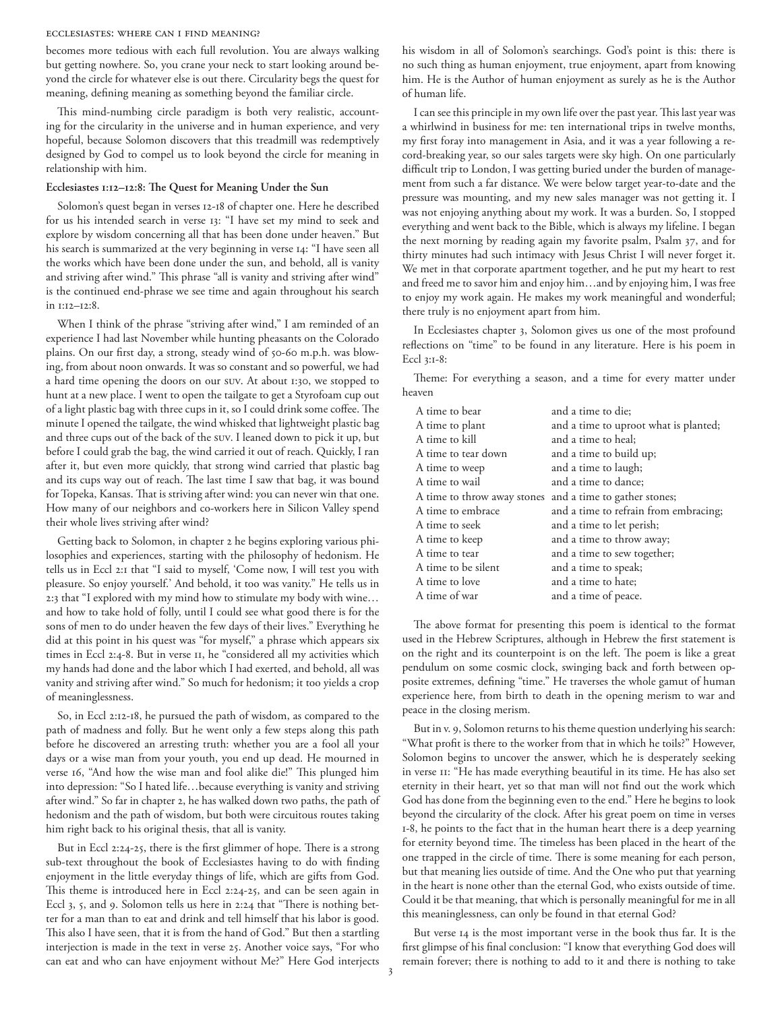#### Ecclesiastes: Where Can I Find Meaning?

becomes more tedious with each full revolution. You are always walking but getting nowhere. So, you crane your neck to start looking around beyond the circle for whatever else is out there. Circularity begs the quest for meaning, defining meaning as something beyond the familiar circle.

This mind-numbing circle paradigm is both very realistic, accounting for the circularity in the universe and in human experience, and very hopeful, because Solomon discovers that this treadmill was redemptively designed by God to compel us to look beyond the circle for meaning in relationship with him.

## **Ecclesiastes 1:12–12:8: The Quest for Meaning Under the Sun**

Solomon's quest began in verses 12-18 of chapter one. Here he described for us his intended search in verse 13: "I have set my mind to seek and explore by wisdom concerning all that has been done under heaven." But his search is summarized at the very beginning in verse 14: "I have seen all the works which have been done under the sun, and behold, all is vanity and striving after wind." This phrase "all is vanity and striving after wind" is the continued end-phrase we see time and again throughout his search in 1:12–12:8.

When I think of the phrase "striving after wind," I am reminded of an experience I had last November while hunting pheasants on the Colorado plains. On our first day, a strong, steady wind of 50-60 m.p.h. was blowing, from about noon onwards. It was so constant and so powerful, we had a hard time opening the doors on our SUV. At about 1:30, we stopped to hunt at a new place. I went to open the tailgate to get a Styrofoam cup out of a light plastic bag with three cups in it, so I could drink some coffee. The minute I opened the tailgate, the wind whisked that lightweight plastic bag and three cups out of the back of the SUV. I leaned down to pick it up, but before I could grab the bag, the wind carried it out of reach. Quickly, I ran after it, but even more quickly, that strong wind carried that plastic bag and its cups way out of reach. The last time I saw that bag, it was bound for Topeka, Kansas. That is striving after wind: you can never win that one. How many of our neighbors and co-workers here in Silicon Valley spend their whole lives striving after wind?

Getting back to Solomon, in chapter 2 he begins exploring various philosophies and experiences, starting with the philosophy of hedonism. He tells us in Eccl 2:1 that "I said to myself, 'Come now, I will test you with pleasure. So enjoy yourself.' And behold, it too was vanity." He tells us in 2:3 that "I explored with my mind how to stimulate my body with wine… and how to take hold of folly, until I could see what good there is for the sons of men to do under heaven the few days of their lives." Everything he did at this point in his quest was "for myself," a phrase which appears six times in Eccl 2:4-8. But in verse 11, he "considered all my activities which my hands had done and the labor which I had exerted, and behold, all was vanity and striving after wind." So much for hedonism; it too yields a crop of meaninglessness.

So, in Eccl 2:12-18, he pursued the path of wisdom, as compared to the path of madness and folly. But he went only a few steps along this path before he discovered an arresting truth: whether you are a fool all your days or a wise man from your youth, you end up dead. He mourned in verse 16, "And how the wise man and fool alike die!" This plunged him into depression: "So I hated life…because everything is vanity and striving after wind." So far in chapter 2, he has walked down two paths, the path of hedonism and the path of wisdom, but both were circuitous routes taking him right back to his original thesis, that all is vanity.

But in Eccl 2:24-25, there is the first glimmer of hope. There is a strong sub-text throughout the book of Ecclesiastes having to do with finding enjoyment in the little everyday things of life, which are gifts from God. This theme is introduced here in Eccl 2:24-25, and can be seen again in Eccl 3, 5, and 9. Solomon tells us here in 2:24 that "There is nothing better for a man than to eat and drink and tell himself that his labor is good. This also I have seen, that it is from the hand of God." But then a startling interjection is made in the text in verse 25. Another voice says, "For who can eat and who can have enjoyment without Me?" Here God interjects his wisdom in all of Solomon's searchings. God's point is this: there is no such thing as human enjoyment, true enjoyment, apart from knowing him. He is the Author of human enjoyment as surely as he is the Author of human life.

I can see this principle in my own life over the past year. This last year was a whirlwind in business for me: ten international trips in twelve months, my first foray into management in Asia, and it was a year following a record-breaking year, so our sales targets were sky high. On one particularly difficult trip to London, I was getting buried under the burden of management from such a far distance. We were below target year-to-date and the pressure was mounting, and my new sales manager was not getting it. I was not enjoying anything about my work. It was a burden. So, I stopped everything and went back to the Bible, which is always my lifeline. I began the next morning by reading again my favorite psalm, Psalm 37, and for thirty minutes had such intimacy with Jesus Christ I will never forget it. We met in that corporate apartment together, and he put my heart to rest and freed me to savor him and enjoy him…and by enjoying him, I was free to enjoy my work again. He makes my work meaningful and wonderful; there truly is no enjoyment apart from him.

In Ecclesiastes chapter 3, Solomon gives us one of the most profound reflections on "time" to be found in any literature. Here is his poem in Eccl 3:1-8:

Theme: For everything a season, and a time for every matter under heaven

| A time to bear              | and a time to die;                    |
|-----------------------------|---------------------------------------|
| A time to plant             | and a time to uproot what is planted; |
| A time to kill              | and a time to heal;                   |
| A time to tear down         | and a time to build up;               |
| A time to weep              | and a time to laugh;                  |
| A time to wail              | and a time to dance;                  |
| A time to throw away stones | and a time to gather stones;          |
| A time to embrace           | and a time to refrain from embracing; |
| A time to seek              | and a time to let perish;             |
| A time to keep              | and a time to throw away;             |
| A time to tear              | and a time to sew together;           |
| A time to be silent         | and a time to speak;                  |
| A time to love              | and a time to hate;                   |
| A time of war               | and a time of peace.                  |
|                             |                                       |

The above format for presenting this poem is identical to the format used in the Hebrew Scriptures, although in Hebrew the first statement is on the right and its counterpoint is on the left. The poem is like a great pendulum on some cosmic clock, swinging back and forth between opposite extremes, defining "time." He traverses the whole gamut of human experience here, from birth to death in the opening merism to war and peace in the closing merism.

But in v. 9, Solomon returns to his theme question underlying his search: "What profit is there to the worker from that in which he toils?" However, Solomon begins to uncover the answer, which he is desperately seeking in verse 11: "He has made everything beautiful in its time. He has also set eternity in their heart, yet so that man will not find out the work which God has done from the beginning even to the end." Here he begins to look beyond the circularity of the clock. After his great poem on time in verses 1-8, he points to the fact that in the human heart there is a deep yearning for eternity beyond time. The timeless has been placed in the heart of the one trapped in the circle of time. There is some meaning for each person, but that meaning lies outside of time. And the One who put that yearning in the heart is none other than the eternal God, who exists outside of time. Could it be that meaning, that which is personally meaningful for me in all this meaninglessness, can only be found in that eternal God?

But verse 14 is the most important verse in the book thus far. It is the first glimpse of his final conclusion: "I know that everything God does will remain forever; there is nothing to add to it and there is nothing to take